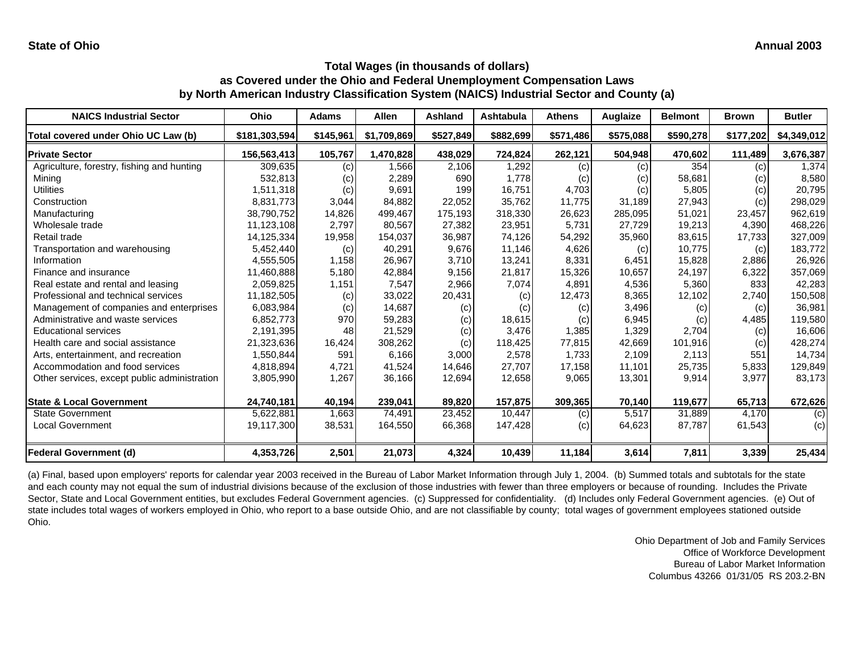#### **Total Wages (in thousands of dollars)**

# **as Covered under the Ohio and Federal Unemployment Compensation Laws**

**by North American Industry Classification System (NAICS) Industrial Sector and County (a)**

| <b>NAICS Industrial Sector</b>               | Ohio          | <b>Adams</b> | <b>Allen</b> | <b>Ashland</b> | <b>Ashtabula</b> | <b>Athens</b> | Auglaize  | <b>Belmont</b> | <b>Brown</b> | <b>Butler</b> |
|----------------------------------------------|---------------|--------------|--------------|----------------|------------------|---------------|-----------|----------------|--------------|---------------|
| Total covered under Ohio UC Law (b)          | \$181,303,594 | \$145,961    | \$1,709,869  | \$527,849      | \$882,699        | \$571,486     | \$575,088 | \$590,278      | \$177,202    | \$4,349,012   |
| <b>Private Sector</b>                        | 156,563,413   | 105,767      | 1,470,828    | 438,029        | 724,824          | 262,121       | 504,948   | 470,602        | 111,489      | 3,676,387     |
| Agriculture, forestry, fishing and hunting   | 309,635       | (c)          | ,566         | 2,106          | 1,292            | (c)           | (c)       | 354            | (c)          | 1,374         |
| Mining                                       | 532,813       | (c)          | 2,289        | 690            | 1,778            | (c)           | (c)       | 58,681         | (c)          | 8,580         |
| <b>Utilities</b>                             | 1,511,318     | (c)          | 9,691        | 199            | 16,751           | 4,703         | (c)       | 5,805          | (c)          | 20,795        |
| Construction                                 | 8,831,773     | 3,044        | 84,882       | 22,052         | 35,762           | 11,775        | 31,189    | 27,943         | (c)          | 298,029       |
| Manufacturing                                | 38,790,752    | 14,826       | 499,467      | 175.193        | 318,330          | 26,623        | 285,095   | 51,021         | 23,457       | 962,619       |
| Wholesale trade                              | 11,123,108    | 2,797        | 80,567       | 27,382         | 23,951           | 5,731         | 27,729    | 19,213         | 4,390        | 468,226       |
| Retail trade                                 | 14,125,334    | 19,958       | 154,037      | 36,987         | 74,126           | 54,292        | 35,960    | 83,615         | 17,733       | 327,009       |
| Transportation and warehousing               | 5,452,440     | (c)          | 40,291       | 9,676          | 11,146           | 4,626         | (c)       | 10,775         | (c)          | 183,772       |
| Information                                  | 4,555,505     | 1,158        | 26,967       | 3,710          | 13,241           | 8,331         | 6,451     | 15,828         | 2,886        | 26,926        |
| Finance and insurance                        | 11,460,888    | 5,180        | 42,884       | 9,156          | 21,817           | 15,326        | 10,657    | 24,197         | 6,322        | 357,069       |
| Real estate and rental and leasing           | 2,059,825     | 1,151        | 7,547        | 2,966          | 7,074            | 4,891         | 4,536     | 5,360          | 833          | 42,283        |
| Professional and technical services          | 11,182,505    | (c)          | 33,022       | 20,431         | (c)              | 12,473        | 8,365     | 12,102         | 2,740        | 150,508       |
| Management of companies and enterprises      | 6,083,984     | (c)          | 14,687       | (c)            | (c)              | (c)           | 3,496     | (c)            | (c)          | 36,981        |
| Administrative and waste services            | 6,852,773     | 970          | 59,283       | (c)            | 18.615           | (c)           | 6,945     | (c)            | 4,485        | 119,580       |
| <b>Educational services</b>                  | 2,191,395     | 48           | 21,529       | (c)            | 3,476            | 1,385         | 1,329     | 2,704          | (c)          | 16,606        |
| Health care and social assistance            | 21,323,636    | 16,424       | 308,262      | (c)            | 118,425          | 77,815        | 42,669    | 101,916        | (c)          | 428,274       |
| Arts, entertainment, and recreation          | 1,550,844     | 591          | 6,166        | 3,000          | 2,578            | 1,733         | 2,109     | 2.113          | 551          | 14,734        |
| Accommodation and food services              | 4,818,894     | 4,721        | 41,524       | 14,646         | 27,707           | 17,158        | 11,101    | 25,735         | 5,833        | 129,849       |
| Other services, except public administration | 3,805,990     | 1,267        | 36,166       | 12,694         | 12,658           | 9,065         | 13,301    | 9,914          | 3,977        | 83,173        |
| <b>State &amp; Local Government</b>          | 24,740,181    | 40,194       | 239,041      | 89,820         | 157,875          | 309,365       | 70,140    | 119,677        | 65,713       | 672,626       |
| State Government                             | 5,622,881     | 1,663        | 74,491       | 23,452         | 10,447           | (c)           | 5,517     | 31,889         | 4,170        | (c)           |
| <b>Local Government</b>                      | 19,117,300    | 38,531       | 164,550      | 66,368         | 147,428          | (c)           | 64,623    | 87,787         | 61,543       | (c)           |
| <b>Federal Government (d)</b>                | 4,353,726     | 2,501        | 21,073       | 4,324          | 10,439           | 11,184        | 3,614     | 7,811          | 3,339        | 25,434        |

(a) Final, based upon employers' reports for calendar year 2003 received in the Bureau of Labor Market Information through July 1, 2004. (b) Summed totals and subtotals for the state and each county may not equal the sum of industrial divisions because of the exclusion of those industries with fewer than three employers or because of rounding. Includes the Private Sector, State and Local Government entities, but excludes Federal Government agencies. (c) Suppressed for confidentiality. (d) Includes only Federal Government agencies. (e) Out of state includes total wages of workers employed in Ohio, who report to a base outside Ohio, and are not classifiable by county; total wages of government employees stationed outside Ohio.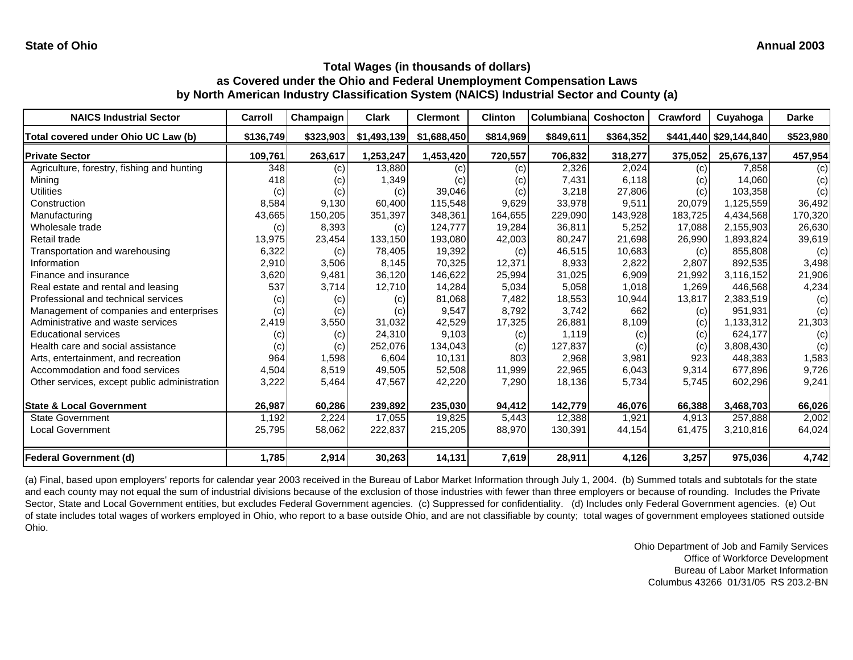| <b>NAICS Industrial Sector</b>               | Carroll   | Champaign | <b>Clark</b> | <b>Clermont</b> | <b>Clinton</b> | <b>Columbiana</b> | Coshocton | Crawford | Cuyahoga               | <b>Darke</b> |
|----------------------------------------------|-----------|-----------|--------------|-----------------|----------------|-------------------|-----------|----------|------------------------|--------------|
| Total covered under Ohio UC Law (b)          | \$136,749 | \$323,903 | \$1,493,139  | \$1,688,450     | \$814,969      | \$849,611         | \$364,352 |          | \$441,440 \$29,144,840 | \$523,980    |
| <b>Private Sector</b>                        | 109,761   | 263,617   | 1,253,247    | 1,453,420       | 720,557        | 706,832           | 318,277   | 375,052  | 25,676,137             | 457,954      |
| Agriculture, forestry, fishing and hunting   | 348       | (c)       | 13,880       | (c)             | (c)            | 2,326             | 2,024     | (c)      | 7,858                  | (c)          |
| Mining                                       | 418       | (c)       | 1,349        | (c)             | (c)            | 7,431             | 6,118     | (c)      | 14.060                 | (c)          |
| <b>Utilities</b>                             | (c)       | (c)       | (c)          | 39,046          | (c)            | 3,218             | 27,806    | (c)      | 103.358                | (c)          |
| Construction                                 | 8,584     | 9,130     | 60,400       | 115,548         | 9,629          | 33,978            | 9,511     | 20,079   | 1,125,559              | 36,492       |
| Manufacturing                                | 43,665    | 150,205   | 351,397      | 348,361         | 164,655        | 229,090           | 143,928   | 183,725  | 4,434,568              | 170,320      |
| Wholesale trade                              | (c)       | 8,393     | (c)          | 124.777         | 19,284         | 36,811            | 5,252     | 17,088   | 2,155,903              | 26,630       |
| Retail trade                                 | 13,975    | 23,454    | 133,150      | 193,080         | 42,003         | 80,247            | 21,698    | 26,990   | 1,893,824              | 39,619       |
| Transportation and warehousing               | 6,322     | (c)       | 78,405       | 19,392          | (c)            | 46,515            | 10,683    | (c)      | 855.808                | (c)          |
| Information                                  | 2,910     | 3,506     | 8,145        | 70,325          | 12,371         | 8,933             | 2,822     | 2,807    | 892.535                | 3,498        |
| Finance and insurance                        | 3,620     | 9,481     | 36,120       | 146,622         | 25,994         | 31,025            | 6,909     | 21,992   | 3,116,152              | 21,906       |
| Real estate and rental and leasing           | 537       | 3,714     | 12,710       | 14,284          | 5,034          | 5,058             | 1,018     | 1,269    | 446,568                | 4,234        |
| Professional and technical services          | (c)       | (c)       | (c)          | 81,068          | 7,482          | 18,553            | 10,944    | 13,817   | 2,383,519              | (c)          |
| Management of companies and enterprises      | (c)       | (c)       | (c)          | 9,547           | 8,792          | 3,742             | 662       | (c)      | 951,931                | (c)          |
| Administrative and waste services            | 2,419     | 3,550     | 31,032       | 42,529          | 17,325         | 26,881            | 8,109     | (c)      | 1,133,312              | 21,303       |
| <b>Educational services</b>                  | (c)       | (c)       | 24,310       | 9,103           | (c)            | 1.119             | (c)       | (c)      | 624,177                | (c)          |
| Health care and social assistance            | (c)       | (c)       | 252,076      | 134,043         | (c)            | 127,837           | (c)       | (c)      | 3,808,430              | (c)          |
| Arts, entertainment, and recreation          | 964       | 1,598     | 6,604        | 10,131          | 803            | 2,968             | 3,981     | 923      | 448,383                | 1,583        |
| Accommodation and food services              | 4,504     | 8,519     | 49,505       | 52,508          | 11,999         | 22,965            | 6,043     | 9,314    | 677,896                | 9,726        |
| Other services, except public administration | 3,222     | 5,464     | 47,567       | 42,220          | 7,290          | 18,136            | 5,734     | 5,745    | 602,296                | 9,241        |
| <b>State &amp; Local Government</b>          | 26,987    | 60,286    | 239,892      | 235.030         | 94,412         | 142,779           | 46,076    | 66,388   | 3,468,703              | 66,026       |
| <b>State Government</b>                      | 1,192     | 2,224     | 17,055       | 19,825          | 5,443          | 12,388            | 1,921     | 4,913    | 257,888                | 2,002        |
| <b>Local Government</b>                      | 25,795    | 58,062    | 222,837      | 215,205         | 88,970         | 130,391           | 44,154    | 61,475   | 3,210,816              | 64,024       |
| <b>Federal Government (d)</b>                | 1,785     | 2,914     | 30,263       | 14,131          | 7,619          | 28,911            | 4,126     | 3,257    | 975,036                | 4,742        |

(a) Final, based upon employers' reports for calendar year 2003 received in the Bureau of Labor Market Information through July 1, 2004. (b) Summed totals and subtotals for the state and each county may not equal the sum of industrial divisions because of the exclusion of those industries with fewer than three employers or because of rounding. Includes the Private Sector, State and Local Government entities, but excludes Federal Government agencies. (c) Suppressed for confidentiality. (d) Includes only Federal Government agencies. (e) Out of state includes total wages of workers employed in Ohio, who report to a base outside Ohio, and are not classifiable by county; total wages of government employees stationed outside Ohio.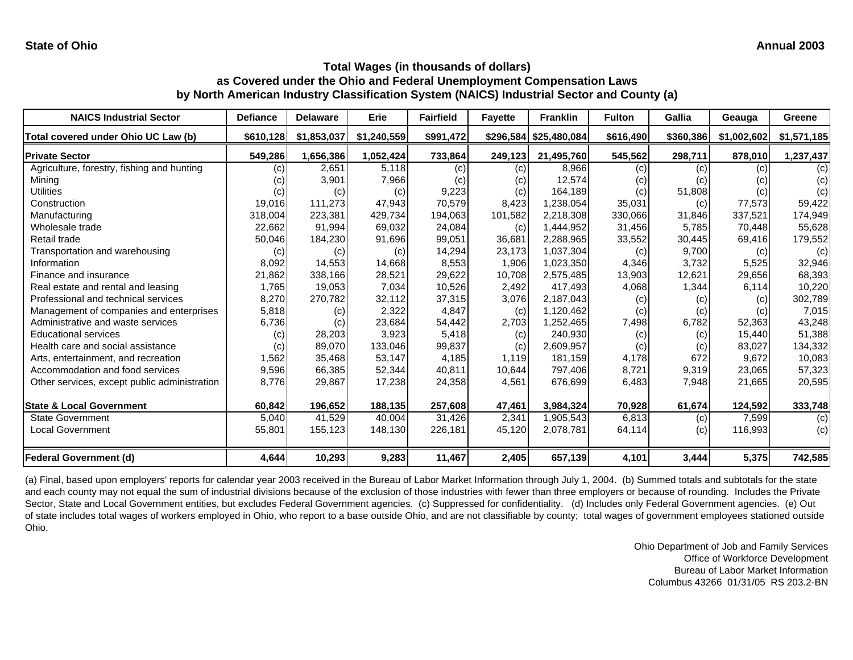| <b>NAICS Industrial Sector</b>               | <b>Defiance</b> | <b>Delaware</b> | Erie        | <b>Fairfield</b> | <b>Fayette</b> | <b>Franklin</b>        | <b>Fulton</b> | Gallia    | Geauga      | Greene      |
|----------------------------------------------|-----------------|-----------------|-------------|------------------|----------------|------------------------|---------------|-----------|-------------|-------------|
| Total covered under Ohio UC Law (b)          | \$610,128       | \$1,853,037     | \$1,240,559 | \$991,472        |                | \$296,584 \$25,480,084 | \$616,490     | \$360,386 | \$1,002,602 | \$1,571,185 |
| <b>Private Sector</b>                        | 549,286         | 1,656,386       | 1,052,424   | 733,864          | 249,123        | 21,495,760             | 545,562       | 298,711   | 878,010     | 1,237,437   |
| Agriculture, forestry, fishing and hunting   | (c)             | 2,651           | 5,118       | (c)              | (c)            | 8,966                  | (c)           | (c)       | (c)         | (c)         |
| Mining                                       | (c)             | 3,901           | 7,966       | (c)              | (c)            | 12,574                 | (c)           | (c)       | (c)         | (c)         |
| Utilities                                    | (c)             | (c)             | (c)         | 9,223            | (c)            | 164,189                | (c)           | 51,808    | (c)         | (c)         |
| Construction                                 | 19,016          | 111,273         | 47,943      | 70,579           | 8,423          | 1,238,054              | 35,031        | (c)       | 77,573      | 59,422      |
| Manufacturing                                | 318,004         | 223,381         | 429,734     | 194.063          | 101,582        | 2.218.308              | 330,066       | 31,846    | 337,521     | 174,949     |
| Wholesale trade                              | 22,662          | 91,994          | 69,032      | 24,084           | (c)            | 1,444,952              | 31,456        | 5,785     | 70,448      | 55,628      |
| Retail trade                                 | 50,046          | 184,230         | 91,696      | 99,051           | 36,681         | 2,288,965              | 33,552        | 30,445    | 69,416      | 179,552     |
| Transportation and warehousing               | (c)             | (c)             | (c)         | 14,294           | 23,173         | 1,037,304              | (c)           | 9,700     | (c)         | (c)         |
| Information                                  | 8,092           | 14,553          | 14,668      | 8,553            | 1,906          | 1,023,350              | 4,346         | 3,732     | 5,525       | 32,946      |
| Finance and insurance                        | 21,862          | 338,166         | 28,521      | 29,622           | 10,708         | 2,575,485              | 13,903        | 12,621    | 29,656      | 68,393      |
| Real estate and rental and leasing           | 1,765           | 19,053          | 7,034       | 10,526           | 2,492          | 417,493                | 4,068         | 1,344     | 6,114       | 10,220      |
| Professional and technical services          | 8,270           | 270,782         | 32,112      | 37,315           | 3,076          | 2,187,043              | (c)           | (c)       | (c)         | 302,789     |
| Management of companies and enterprises      | 5,818           | (c)             | 2,322       | 4,847            | (c)            | 1,120,462              | (c)           | (c)       | (c)         | 7,015       |
| Administrative and waste services            | 6,736           | (c)             | 23,684      | 54,442           | 2,703          | 1,252,465              | 7,498         | 6,782     | 52,363      | 43,248      |
| <b>Educational services</b>                  | (c)             | 28,203          | 3,923       | 5,418            | (c)            | 240,930                | (c)           | (c)       | 15,440      | 51,388      |
| Health care and social assistance            | (c)             | 89,070          | 133,046     | 99,837           | (c)            | 2,609,957              | (c)           | (c)       | 83,027      | 134,332     |
| Arts, entertainment, and recreation          | 1,562           | 35,468          | 53,147      | 4,185            | 1.119          | 181,159                | 4,178         | 672       | 9,672       | 10,083      |
| Accommodation and food services              | 9,596           | 66,385          | 52,344      | 40,811           | 10,644         | 797,406                | 8,721         | 9,319     | 23,065      | 57,323      |
| Other services, except public administration | 8,776           | 29,867          | 17,238      | 24,358           | 4,561          | 676,699                | 6,483         | 7,948     | 21,665      | 20,595      |
| <b>State &amp; Local Government</b>          | 60,842          | 196,652         | 188,135     | 257.608          | 47,461         | 3,984,324              | 70,928        | 61,674    | 124,592     | 333,748     |
| <b>State Government</b>                      | 5,040           | 41,529          | 40,004      | 31,426           | 2,341          | 1,905,543              | 6,813         | (c)       | 7,599       | (c)         |
| <b>Local Government</b>                      | 55,801          | 155,123         | 148,130     | 226,181          | 45,120         | 2,078,781              | 64,114        | (c)       | 116,993     | (c)         |
| Federal Government (d)                       | 4,644           | 10,293          | 9,283       | 11,467           | 2,405          | 657,139                | 4,101         | 3,444     | 5,375       | 742,585     |

(a) Final, based upon employers' reports for calendar year 2003 received in the Bureau of Labor Market Information through July 1, 2004. (b) Summed totals and subtotals for the state and each county may not equal the sum of industrial divisions because of the exclusion of those industries with fewer than three employers or because of rounding. Includes the Private Sector, State and Local Government entities, but excludes Federal Government agencies. (c) Suppressed for confidentiality. (d) Includes only Federal Government agencies. (e) Out of state includes total wages of workers employed in Ohio, who report to a base outside Ohio, and are not classifiable by county; total wages of government employees stationed outside Ohio.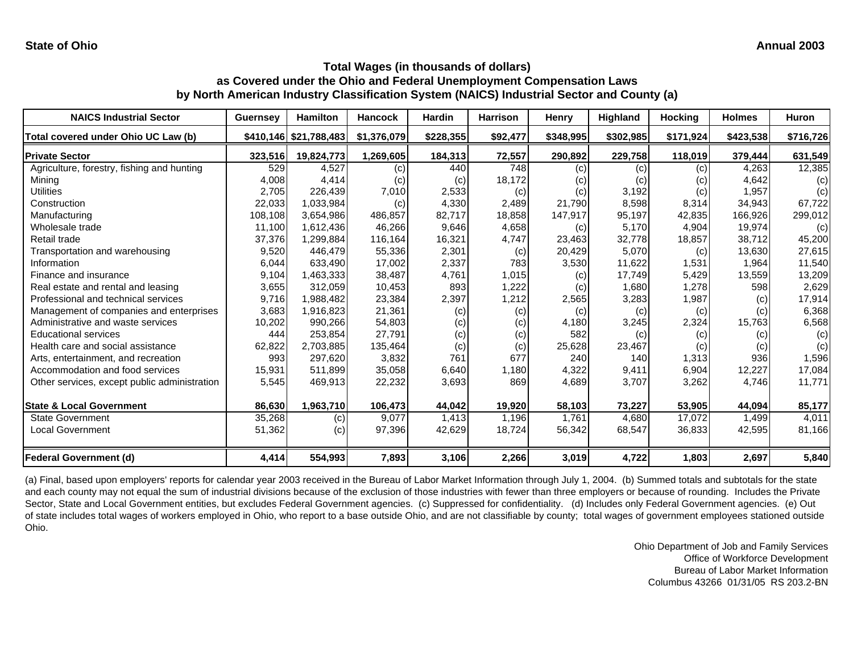#### **Total Wages (in thousands of dollars) as Covered under the Ohio and Federal Unemployment Compensation Laws**

**by North American Industry Classification System (NAICS) Industrial Sector and County (a)**

| <b>NAICS Industrial Sector</b>               | <b>Guernsey</b> | <b>Hamilton</b>        | <b>Hancock</b> | <b>Hardin</b> | <b>Harrison</b> | <b>Henry</b> | Highland  | <b>Hocking</b> | <b>Holmes</b> | Huron     |
|----------------------------------------------|-----------------|------------------------|----------------|---------------|-----------------|--------------|-----------|----------------|---------------|-----------|
| Total covered under Ohio UC Law (b)          |                 | \$410,146 \$21,788,483 | \$1,376,079    | \$228,355     | \$92,477        | \$348,995    | \$302,985 | \$171,924      | \$423,538     | \$716,726 |
| <b>Private Sector</b>                        | 323,516         | 19,824,773             | 1,269,605      | 184,313       | 72,557          | 290,892      | 229,758   | 118,019        | 379,444       | 631,549   |
| Agriculture, forestry, fishing and hunting   | 529             | 4,527                  | (c)            | 440           | 748             | (c)          | (c)       | (c)            | 4,263         | 12,385    |
| Mining                                       | 4,008           | 4,414                  | (c)            | (c)           | 18,172          | (c)          | (c)       | (c)            | 4,642         | (c)       |
| <b>Utilities</b>                             | 2,705           | 226,439                | 7,010          | 2,533         | (c)             | (c)          | 3,192     | (c)            | 1,957         | (c)       |
| Construction                                 | 22,033          | 1,033,984              | (c)            | 4,330         | 2,489           | 21,790       | 8,598     | 8,314          | 34,943        | 67,722    |
| Manufacturing                                | 108,108         | 3,654,986              | 486,857        | 82,717        | 18,858          | 147,917      | 95,197    | 42,835         | 166,926       | 299,012   |
| Wholesale trade                              | 11,100          | 1,612,436              | 46,266         | 9,646         | 4,658           | (c)          | 5,170     | 4,904          | 19,974        | (c)       |
| Retail trade                                 | 37,376          | 1,299,884              | 116,164        | 16,321        | 4,747           | 23,463       | 32,778    | 18,857         | 38,712        | 45,200    |
| Transportation and warehousing               | 9,520           | 446,479                | 55,336         | 2,301         | (c)             | 20,429       | 5,070     | (c)            | 13,630        | 27,615    |
| Information                                  | 6,044           | 633.490                | 17,002         | 2,337         | 783             | 3,530        | 11,622    | 1,531          | 1,964         | 11,540    |
| Finance and insurance                        | 9,104           | 1,463,333              | 38,487         | 4,761         | 1,015           | (c)          | 17,749    | 5,429          | 13,559        | 13,209    |
| Real estate and rental and leasing           | 3,655           | 312,059                | 10,453         | 893           | 1,222           | (c)          | 1,680     | 1,278          | 598           | 2,629     |
| Professional and technical services          | 9,716           | 1,988,482              | 23,384         | 2,397         | 1,212           | 2,565        | 3,283     | 1,987          | (c)           | 17,914    |
| Management of companies and enterprises      | 3,683           | 1,916,823              | 21,361         | (c)           | (c)             | (c)          | (c)       | (c)            | (c)           | 6,368     |
| Administrative and waste services            | 10,202          | 990,266                | 54,803         | (c)           | (c)             | 4,180        | 3,245     | 2,324          | 15,763        | 6,568     |
| <b>Educational services</b>                  | 444             | 253,854                | 27,791         | (c)           | (c)             | 582          | (c)       | (c)            | (c)           | (c)       |
| Health care and social assistance            | 62,822          | 2,703,885              | 135,464        | (c)           | (c)             | 25,628       | 23,467    | (c)            | (c)           | (c)       |
| Arts, entertainment, and recreation          | 993             | 297,620                | 3,832          | 761           | 677             | 240          | 140       | 1,313          | 936           | 1,596     |
| Accommodation and food services              | 15,931          | 511,899                | 35,058         | 6,640         | 1,180           | 4,322        | 9,411     | 6,904          | 12,227        | 17,084    |
| Other services, except public administration | 5,545           | 469,913                | 22,232         | 3,693         | 869             | 4,689        | 3,707     | 3,262          | 4,746         | 11,771    |
| <b>State &amp; Local Government</b>          | 86,630          | 1,963,710              | 106,473        | 44,042        | 19,920          | 58,103       | 73,227    | 53,905         | 44,094        | 85,177    |
| State Government                             | 35,268          | (c)                    | 9,077          | 1,413         | 1,196           | 1,761        | 4,680     | 17,072         | 1,499         | 4,011     |
| <b>Local Government</b>                      | 51,362          | (c)                    | 97,396         | 42,629        | 18,724          | 56,342       | 68,547    | 36,833         | 42,595        | 81,166    |
| <b>Federal Government (d)</b>                | 4,414           | 554,993                | 7,893          | 3,106         | 2,266           | 3,019        | 4,722     | 1,803          | 2,697         | 5,840     |

(a) Final, based upon employers' reports for calendar year 2003 received in the Bureau of Labor Market Information through July 1, 2004. (b) Summed totals and subtotals for the state and each county may not equal the sum of industrial divisions because of the exclusion of those industries with fewer than three employers or because of rounding. Includes the Private Sector, State and Local Government entities, but excludes Federal Government agencies. (c) Suppressed for confidentiality. (d) Includes only Federal Government agencies. (e) Out of state includes total wages of workers employed in Ohio, who report to a base outside Ohio, and are not classifiable by county; total wages of government employees stationed outside Ohio.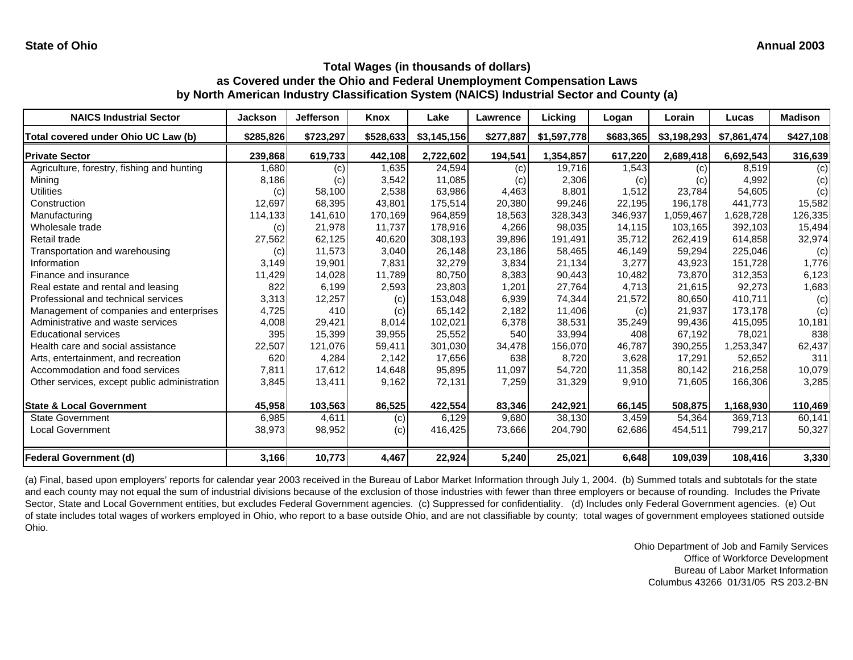| <b>NAICS Industrial Sector</b>               | <b>Jackson</b> | <b>Jefferson</b> | Knox      | Lake        | Lawrence  | Licking     | Logan     | Lorain      | Lucas       | <b>Madison</b> |
|----------------------------------------------|----------------|------------------|-----------|-------------|-----------|-------------|-----------|-------------|-------------|----------------|
| Total covered under Ohio UC Law (b)          | \$285,826      | \$723,297        | \$528,633 | \$3,145,156 | \$277,887 | \$1,597,778 | \$683,365 | \$3,198,293 | \$7,861,474 | \$427,108      |
| <b>Private Sector</b>                        | 239,868        | 619,733          | 442,108   | 2,722,602   | 194,541   | 1,354,857   | 617,220   | 2,689,418   | 6,692,543   | 316,639        |
| Agriculture, forestry, fishing and hunting   | 1,680          | (c)              | 1,635     | 24,594      | (c)       | 19,716      | 1,543     | (c)         | 8,519       | (c)            |
| Mining                                       | 8,186          | (c)              | 3,542     | 11,085      | (c)       | 2,306       | (c)       | (c)         | 4,992       | (c)            |
| Utilities                                    | (c)            | 58,100           | 2,538     | 63,986      | 4,463     | 8,801       | 1,512     | 23,784      | 54,605      | (c)            |
| Construction                                 | 12,697         | 68,395           | 43,801    | 175,514     | 20,380    | 99,246      | 22,195    | 196,178     | 441,773     | 15,582         |
| Manufacturing                                | 114,133        | 141,610          | 170.169   | 964.859     | 18,563    | 328,343     | 346,937   | 1,059,467   | 1,628,728   | 126,335        |
| Wholesale trade                              | (c)            | 21,978           | 11,737    | 178,916     | 4,266     | 98,035      | 14,115    | 103,165     | 392,103     | 15,494         |
| Retail trade                                 | 27,562         | 62,125           | 40,620    | 308,193     | 39,896    | 191,491     | 35,712    | 262,419     | 614,858     | 32,974         |
| Transportation and warehousing               | (c)            | 11,573           | 3,040     | 26,148      | 23,186    | 58,465      | 46,149    | 59,294      | 225,046     | (c)            |
| Information                                  | 3,149          | 19,901           | 7,831     | 32,279      | 3,834     | 21,134      | 3,277     | 43,923      | 151,728     | 1,776          |
| Finance and insurance                        | 11,429         | 14,028           | 11,789    | 80,750      | 8,383     | 90,443      | 10,482    | 73,870      | 312,353     | 6,123          |
| Real estate and rental and leasing           | 822            | 6,199            | 2,593     | 23,803      | 1,201     | 27,764      | 4,713     | 21,615      | 92,273      | 1,683          |
| Professional and technical services          | 3,313          | 12,257           | (c)       | 153,048     | 6,939     | 74,344      | 21,572    | 80,650      | 410,711     | (c)            |
| Management of companies and enterprises      | 4,725          | 410              | (c)       | 65,142      | 2,182     | 11,406      | (c)       | 21,937      | 173,178     | (c)            |
| Administrative and waste services            | 4,008          | 29,421           | 8,014     | 102,021     | 6,378     | 38,531      | 35,249    | 99,436      | 415,095     | 10,181         |
| <b>Educational services</b>                  | 395            | 15,399           | 39,955    | 25,552      | 540       | 33,994      | 408       | 67,192      | 78,021      | 838            |
| Health care and social assistance            | 22,507         | 121,076          | 59,411    | 301,030     | 34,478    | 156,070     | 46,787    | 390,255     | 1,253,347   | 62,437         |
| Arts, entertainment, and recreation          | 620            | 4,284            | 2,142     | 17,656      | 638       | 8,720       | 3,628     | 17,291      | 52,652      | 311            |
| Accommodation and food services              | 7,811          | 17,612           | 14,648    | 95,895      | 11,097    | 54,720      | 11,358    | 80,142      | 216,258     | 10,079         |
| Other services, except public administration | 3,845          | 13,411           | 9,162     | 72,131      | 7,259     | 31,329      | 9,910     | 71,605      | 166,306     | 3,285          |
| <b>State &amp; Local Government</b>          | 45,958         | 103,563          | 86,525    | 422,554     | 83,346    | 242,921     | 66,145    | 508,875     | 1,168,930   | 110,469        |
| <b>State Government</b>                      | 6,985          | 4,611            | (c)       | 6,129       | 9,680     | 38,130      | 3,459     | 54,364      | 369,713     | 60,141         |
| <b>Local Government</b>                      | 38,973         | 98,952           | (c)       | 416,425     | 73,666    | 204,790     | 62,686    | 454,511     | 799,217     | 50,327         |
| <b>Federal Government (d)</b>                | 3,166          | 10,773           | 4,467     | 22,924      | 5,240     | 25,021      | 6,648     | 109,039     | 108,416     | 3,330          |

(a) Final, based upon employers' reports for calendar year 2003 received in the Bureau of Labor Market Information through July 1, 2004. (b) Summed totals and subtotals for the state and each county may not equal the sum of industrial divisions because of the exclusion of those industries with fewer than three employers or because of rounding. Includes the Private Sector, State and Local Government entities, but excludes Federal Government agencies. (c) Suppressed for confidentiality. (d) Includes only Federal Government agencies. (e) Out of state includes total wages of workers employed in Ohio, who report to a base outside Ohio, and are not classifiable by county; total wages of government employees stationed outside Ohio.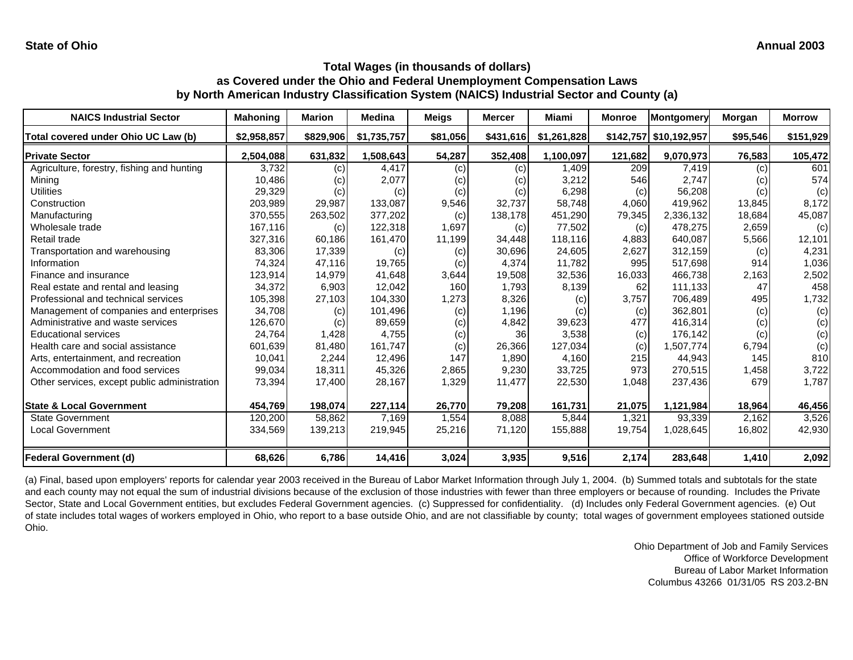| <b>NAICS Industrial Sector</b>               | <b>Mahoning</b> | <b>Marion</b> | <b>Medina</b> | Meigs    | <b>Mercer</b> | Miami       | <b>Monroe</b> | Montgomery             | Morgan   | <b>Morrow</b> |
|----------------------------------------------|-----------------|---------------|---------------|----------|---------------|-------------|---------------|------------------------|----------|---------------|
| Total covered under Ohio UC Law (b)          | \$2,958,857     | \$829,906     | \$1,735,757   | \$81,056 | \$431,616     | \$1,261,828 |               | \$142,757 \$10,192,957 | \$95,546 | \$151,929     |
| <b>Private Sector</b>                        | 2,504,088       | 631,832       | 1,508,643     | 54,287   | 352,408       | 1,100,097   | 121,682       | 9,070,973              | 76,583   | 105,472       |
| Agriculture, forestry, fishing and hunting   | 3,732           | (c)           | 4,417         | (c)      | (c)           | 1,409       | 209           | 7,419                  | (c)      | 601           |
| Mining                                       | 10,486          | (c)           | 2,077         | (c)      | (c)           | 3,212       | 546           | 2,747                  | (c)      | 574           |
| <b>Utilities</b>                             | 29,329          | (c)           | (c)           | (c)      | (c)           | 6,298       | (c)           | 56,208                 | (c)      | (c)           |
| Construction                                 | 203,989         | 29,987        | 133,087       | 9,546    | 32,737        | 58,748      | 4,060         | 419,962                | 13,845   | 8,172         |
| Manufacturing                                | 370,555         | 263,502       | 377,202       | (c)      | 138,178       | 451,290     | 79,345        | 2,336,132              | 18,684   | 45,087        |
| Wholesale trade                              | 167,116         | (c)           | 122,318       | 1,697    | (c)           | 77,502      | (c)           | 478,275                | 2,659    | (c)           |
| Retail trade                                 | 327,316         | 60,186        | 161,470       | 11,199   | 34,448        | 118,116     | 4,883         | 640,087                | 5,566    | 12,101        |
| Transportation and warehousing               | 83,306          | 17,339        | (c)           | (c)      | 30,696        | 24,605      | 2,627         | 312,159                | (c)      | 4,231         |
| Information                                  | 74,324          | 47,116        | 19,765        | (c)      | 4,374         | 11,782      | 995           | 517,698                | 914      | 1,036         |
| Finance and insurance                        | 123,914         | 14,979        | 41,648        | 3,644    | 19,508        | 32,536      | 16,033        | 466,738                | 2,163    | 2,502         |
| Real estate and rental and leasing           | 34,372          | 6,903         | 12,042        | 160      | 1,793         | 8,139       | 62            | 111,133                | 47       | 458           |
| Professional and technical services          | 105,398         | 27,103        | 104,330       | 1,273    | 8,326         | (c)         | 3,757         | 706,489                | 495      | 1,732         |
| Management of companies and enterprises      | 34,708          | (c)           | 101,496       | (c)      | 1,196         | (c)         | (c)           | 362,801                | (c)      | (c)           |
| Administrative and waste services            | 126,670         | (c)           | 89,659        | (c)      | 4,842         | 39,623      | 477           | 416,314                | (c)      | (c)           |
| <b>Educational services</b>                  | 24,764          | 1,428         | 4,755         | (c)      | 36            | 3,538       | (c)           | 176,142                | (c)      | (c)           |
| Health care and social assistance            | 601,639         | 81,480        | 161,747       | (c)      | 26,366        | 127,034     | (c)           | 1,507,774              | 6,794    | (c)           |
| Arts, entertainment, and recreation          | 10,041          | 2,244         | 12,496        | 147      | 1,890         | 4,160       | 215           | 44,943                 | 145      | 810           |
| Accommodation and food services              | 99,034          | 18,311        | 45,326        | 2,865    | 9,230         | 33,725      | 973           | 270,515                | 1,458    | 3,722         |
| Other services, except public administration | 73,394          | 17,400        | 28,167        | 1,329    | 11,477        | 22,530      | 1,048         | 237,436                | 679      | 1,787         |
| <b>State &amp; Local Government</b>          | 454,769         | 198,074       | 227,114       | 26,770   | 79,208        | 161,731     | 21,075        | 1,121,984              | 18,964   | 46,456        |
| <b>State Government</b>                      | 120,200         | 58,862        | 7,169         | 1,554    | 8,088         | 5,844       | 1,321         | 93,339                 | 2,162    | 3,526         |
| <b>Local Government</b>                      | 334,569         | 139,213       | 219,945       | 25,216   | 71,120        | 155,888     | 19,754        | 1,028,645              | 16,802   | 42,930        |
| <b>Federal Government (d)</b>                | 68,626          | 6,786         | 14,416        | 3,024    | 3,935         | 9,516       | 2,174         | 283,648                | 1,410    | 2,092         |

(a) Final, based upon employers' reports for calendar year 2003 received in the Bureau of Labor Market Information through July 1, 2004. (b) Summed totals and subtotals for the state and each county may not equal the sum of industrial divisions because of the exclusion of those industries with fewer than three employers or because of rounding. Includes the Private Sector, State and Local Government entities, but excludes Federal Government agencies. (c) Suppressed for confidentiality. (d) Includes only Federal Government agencies. (e) Out of state includes total wages of workers employed in Ohio, who report to a base outside Ohio, and are not classifiable by county; total wages of government employees stationed outside Ohio.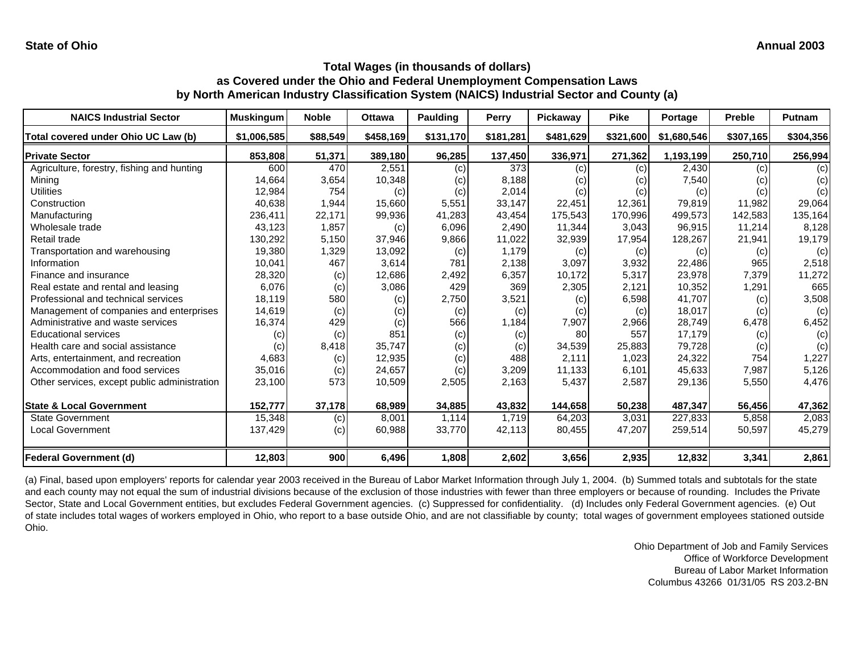| <b>NAICS Industrial Sector</b>               | <b>Muskingum</b> | <b>Noble</b> | <b>Ottawa</b> | Paulding  | <b>Perry</b> | Pickaway  | <b>Pike</b> | <b>Portage</b> | <b>Preble</b> | <b>Putnam</b> |
|----------------------------------------------|------------------|--------------|---------------|-----------|--------------|-----------|-------------|----------------|---------------|---------------|
| Total covered under Ohio UC Law (b)          | \$1,006,585      | \$88,549     | \$458,169     | \$131,170 | \$181,281    | \$481,629 | \$321,600   | \$1,680,546    | \$307,165     | \$304,356     |
| <b>Private Sector</b>                        | 853,808          | 51,371       | 389,180       | 96,285    | 137,450      | 336,971   | 271,362     | 1,193,199      | 250,710       | 256,994       |
| Agriculture, forestry, fishing and hunting   | 600              | 470          | 2,551         | (c)       | 373          | (c)       | (c)         | 2,430          | (c)           | (c)           |
| Mining                                       | 14,664           | 3,654        | 10,348        | (c)       | 8,188        | (c)       | (c)         | 7,540          | (c)           | (c)           |
| Utilities                                    | 12,984           | 754          | (c)           | (c)       | 2,014        | (c)       | (c)         | (c)            | (c)           | (c)           |
| Construction                                 | 40,638           | 1,944        | 15,660        | 5,551     | 33,147       | 22,451    | 12,361      | 79,819         | 11,982        | 29,064        |
| Manufacturing                                | 236,411          | 22,171       | 99,936        | 41,283    | 43,454       | 175,543   | 170,996     | 499,573        | 142,583       | 135,164       |
| Wholesale trade                              | 43,123           | 1,857        | (c)           | 6,096     | 2,490        | 11,344    | 3,043       | 96,915         | 11,214        | 8,128         |
| Retail trade                                 | 130,292          | 5,150        | 37,946        | 9,866     | 11,022       | 32,939    | 17,954      | 128,267        | 21,941        | 19,179        |
| Transportation and warehousing               | 19,380           | 1,329        | 13,092        | (c)       | 1,179        | (c)       | (c)         | (c)            | (c)           | (c)           |
| Information                                  | 10,041           | 467          | 3,614         | 781       | 2,138        | 3,097     | 3,932       | 22,486         | 965           | 2,518         |
| Finance and insurance                        | 28,320           | (c)          | 12,686        | 2,492     | 6,357        | 10,172    | 5,317       | 23,978         | 7,379         | 11,272        |
| Real estate and rental and leasing           | 6,076            | (c)          | 3,086         | 429       | 369          | 2,305     | 2,121       | 10,352         | 1,291         | 665           |
| Professional and technical services          | 18,119           | 580          | (c)           | 2,750     | 3,521        | (c)       | 6,598       | 41,707         | (c)           | 3,508         |
| Management of companies and enterprises      | 14,619           | (c)          | (c)           | (c)       | (c)          | (c)       | (c)         | 18,017         | (c)           | (c)           |
| Administrative and waste services            | 16,374           | 429          | (c)           | 566       | 1,184        | 7,907     | 2,966       | 28,749         | 6,478         | 6,452         |
| <b>Educational services</b>                  | (c)              | (c)          | 851           | (c)       | (c)          | 80        | 557         | 17,179         | (c)           | (c)           |
| Health care and social assistance            | (c)              | 8,418        | 35,747        | (c)       | (c)          | 34,539    | 25,883      | 79,728         | (c)           | (c)           |
| Arts, entertainment, and recreation          | 4,683            | (c)          | 12,935        | (c)       | 488          | 2,111     | 1,023       | 24,322         | 754           | 1,227         |
| Accommodation and food services              | 35,016           | (c)          | 24,657        | (c)       | 3,209        | 11,133    | 6,101       | 45,633         | 7,987         | 5,126         |
| Other services, except public administration | 23,100           | 573          | 10,509        | 2,505     | 2,163        | 5,437     | 2,587       | 29,136         | 5,550         | 4,476         |
| <b>State &amp; Local Government</b>          | 152,777          | 37,178       | 68,989        | 34,885    | 43,832       | 144,658   | 50,238      | 487,347        | 56,456        | 47,362        |
| <b>State Government</b>                      | 15,348           | (c)          | 8,001         | 1,114     | 1,719        | 64,203    | 3,031       | 227,833        | 5,858         | 2,083         |
| <b>Local Government</b>                      | 137,429          | (c)          | 60,988        | 33,770    | 42,113       | 80,455    | 47,207      | 259,514        | 50,597        | 45,279        |
| <b>Federal Government (d)</b>                | 12,803           | 900          | 6,496         | 1,808     | 2,602        | 3,656     | 2,935       | 12,832         | 3,341         | 2,861         |

(a) Final, based upon employers' reports for calendar year 2003 received in the Bureau of Labor Market Information through July 1, 2004. (b) Summed totals and subtotals for the state and each county may not equal the sum of industrial divisions because of the exclusion of those industries with fewer than three employers or because of rounding. Includes the Private Sector, State and Local Government entities, but excludes Federal Government agencies. (c) Suppressed for confidentiality. (d) Includes only Federal Government agencies. (e) Out of state includes total wages of workers employed in Ohio, who report to a base outside Ohio, and are not classifiable by county; total wages of government employees stationed outside Ohio.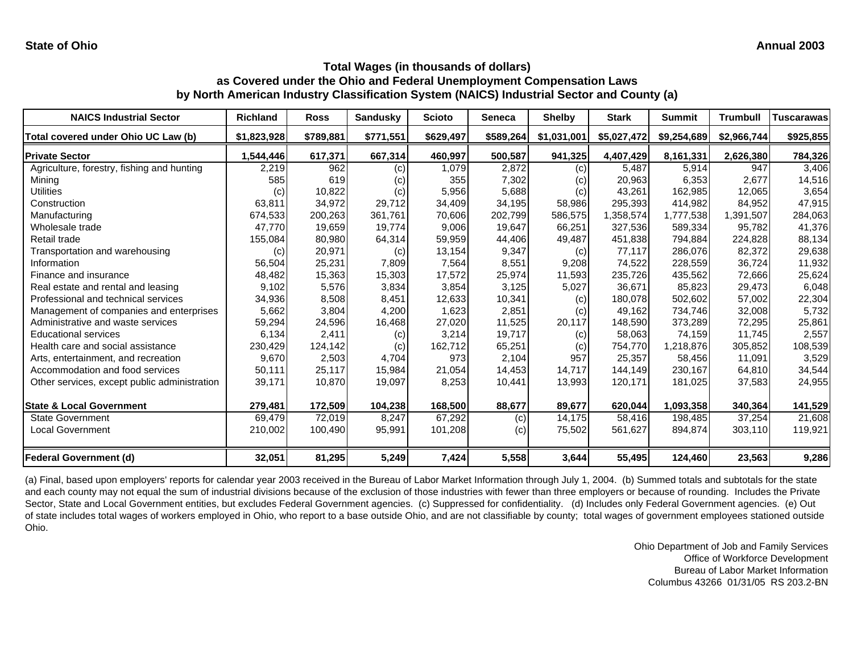| <b>NAICS Industrial Sector</b>               | <b>Richland</b> | <b>Ross</b> | <b>Sandusky</b> | <b>Scioto</b> | <b>Seneca</b> | <b>Shelby</b> | <b>Stark</b> | <b>Summit</b> | <b>Trumbull</b> | Tuscarawas |
|----------------------------------------------|-----------------|-------------|-----------------|---------------|---------------|---------------|--------------|---------------|-----------------|------------|
| Total covered under Ohio UC Law (b)          | \$1,823,928     | \$789,881   | \$771,551       | \$629,497     | \$589,264     | \$1,031,001   | \$5,027,472  | \$9,254,689   | \$2,966,744     | \$925,855  |
| <b>Private Sector</b>                        | 1,544,446       | 617,371     | 667,314         | 460,997       | 500,587       | 941,325       | 4,407,429    | 8,161,331     | 2,626,380       | 784,326    |
| Agriculture, forestry, fishing and hunting   | 2,219           | 962         | (c)             | 1,079         | 2,872         | (c)           | 5,487        | 5,914         | 947             | 3,406      |
| Mining                                       | 585             | 619         | (c)             | 355           | 7,302         | (c)           | 20,963       | 6,353         | 2,677           | 14,516     |
| <b>Utilities</b>                             | (c)             | 10,822      | (c)             | 5,956         | 5,688         | (c)           | 43,261       | 162,985       | 12,065          | 3,654      |
| Construction                                 | 63,811          | 34,972      | 29,712          | 34,409        | 34,195        | 58,986        | 295,393      | 414,982       | 84,952          | 47,915     |
| Manufacturing                                | 674,533         | 200,263     | 361,761         | 70,606        | 202,799       | 586,575       | ,358,574     | 1,777,538     | 1,391,507       | 284,063    |
| Wholesale trade                              | 47,770          | 19,659      | 19.774          | 9.006         | 19,647        | 66,251        | 327,536      | 589,334       | 95.782          | 41,376     |
| Retail trade                                 | 155,084         | 80,980      | 64,314          | 59,959        | 44,406        | 49,487        | 451,838      | 794,884       | 224,828         | 88,134     |
| Transportation and warehousing               | (c)             | 20,971      | (c)             | 13,154        | 9,347         | (c)           | 77,117       | 286,076       | 82,372          | 29,638     |
| Information                                  | 56,504          | 25,231      | 7,809           | 7,564         | 8,551         | 9,208         | 74,522       | 228,559       | 36,724          | 11,932     |
| Finance and insurance                        | 48,482          | 15,363      | 15,303          | 17,572        | 25,974        | 11,593        | 235,726      | 435,562       | 72,666          | 25,624     |
| Real estate and rental and leasing           | 9,102           | 5,576       | 3,834           | 3,854         | 3,125         | 5,027         | 36,671       | 85,823        | 29,473          | 6,048      |
| Professional and technical services          | 34,936          | 8,508       | 8,451           | 12,633        | 10,341        | (c)           | 180,078      | 502,602       | 57,002          | 22,304     |
| Management of companies and enterprises      | 5,662           | 3,804       | 4,200           | 1,623         | 2,851         | (c)           | 49,162       | 734,746       | 32,008          | 5,732      |
| Administrative and waste services            | 59,294          | 24,596      | 16,468          | 27,020        | 11,525        | 20,117        | 148,590      | 373,289       | 72,295          | 25,861     |
| Educational services                         | 6,134           | 2,411       | (c)             | 3,214         | 19,717        | (c)           | 58,063       | 74,159        | 11,745          | 2,557      |
| Health care and social assistance            | 230,429         | 124,142     | (c)             | 162,712       | 65,251        | (c)           | 754,770      | 1,218,876     | 305,852         | 108,539    |
| Arts, entertainment, and recreation          | 9,670           | 2,503       | 4,704           | 973           | 2,104         | 957           | 25,357       | 58,456        | 11,091          | 3,529      |
| Accommodation and food services              | 50,111          | 25,117      | 15,984          | 21,054        | 14,453        | 14,717        | 144,149      | 230,167       | 64,810          | 34,544     |
| Other services, except public administration | 39,171          | 10,870      | 19,097          | 8,253         | 10,441        | 13,993        | 120,171      | 181,025       | 37,583          | 24,955     |
| <b>State &amp; Local Government</b>          | 279,481         | 172,509     | 104,238         | 168,500       | 88,677        | 89,677        | 620,044      | 1,093,358     | 340,364         | 141,529    |
| <b>State Government</b>                      | 69,479          | 72,019      | 8,247           | 67,292        | (c)           | 14,175        | 58,416       | 198,485       | 37,254          | 21,608     |
| <b>Local Government</b>                      | 210,002         | 100,490     | 95,991          | 101,208       | (c)           | 75,502        | 561,627      | 894,874       | 303,110         | 119,921    |
| <b>Federal Government (d)</b>                | 32,051          | 81,295      | 5,249           | 7,424         | 5,558         | 3,644         | 55,495       | 124,460       | 23,563          | 9,286      |

(a) Final, based upon employers' reports for calendar year 2003 received in the Bureau of Labor Market Information through July 1, 2004. (b) Summed totals and subtotals for the state and each county may not equal the sum of industrial divisions because of the exclusion of those industries with fewer than three employers or because of rounding. Includes the Private Sector, State and Local Government entities, but excludes Federal Government agencies. (c) Suppressed for confidentiality. (d) Includes only Federal Government agencies. (e) Out of state includes total wages of workers employed in Ohio, who report to a base outside Ohio, and are not classifiable by county; total wages of government employees stationed outside Ohio.